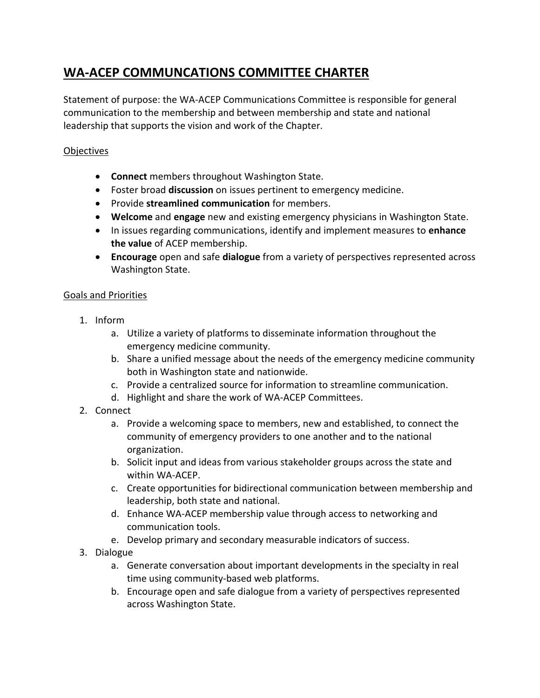# **WA-ACEP COMMUNCATIONS COMMITTEE CHARTER**

Statement of purpose: the WA-ACEP Communications Committee is responsible for general communication to the membership and between membership and state and national leadership that supports the vision and work of the Chapter.

## **Objectives**

- **Connect** members throughout Washington State.
- Foster broad **discussion** on issues pertinent to emergency medicine.
- Provide **streamlined communication** for members.
- **Welcome** and **engage** new and existing emergency physicians in Washington State.
- In issues regarding communications, identify and implement measures to **enhance the value** of ACEP membership.
- **Encourage** open and safe **dialogue** from a variety of perspectives represented across Washington State.

## Goals and Priorities

- 1. Inform
	- a. Utilize a variety of platforms to disseminate information throughout the emergency medicine community.
	- b. Share a unified message about the needs of the emergency medicine community both in Washington state and nationwide.
	- c. Provide a centralized source for information to streamline communication.
	- d. Highlight and share the work of WA-ACEP Committees.
- 2. Connect
	- a. Provide a welcoming space to members, new and established, to connect the community of emergency providers to one another and to the national organization.
	- b. Solicit input and ideas from various stakeholder groups across the state and within WA-ACEP.
	- c. Create opportunities for bidirectional communication between membership and leadership, both state and national.
	- d. Enhance WA-ACEP membership value through access to networking and communication tools.
	- e. Develop primary and secondary measurable indicators of success.
- 3. Dialogue
	- a. Generate conversation about important developments in the specialty in real time using community-based web platforms.
	- b. Encourage open and safe dialogue from a variety of perspectives represented across Washington State.